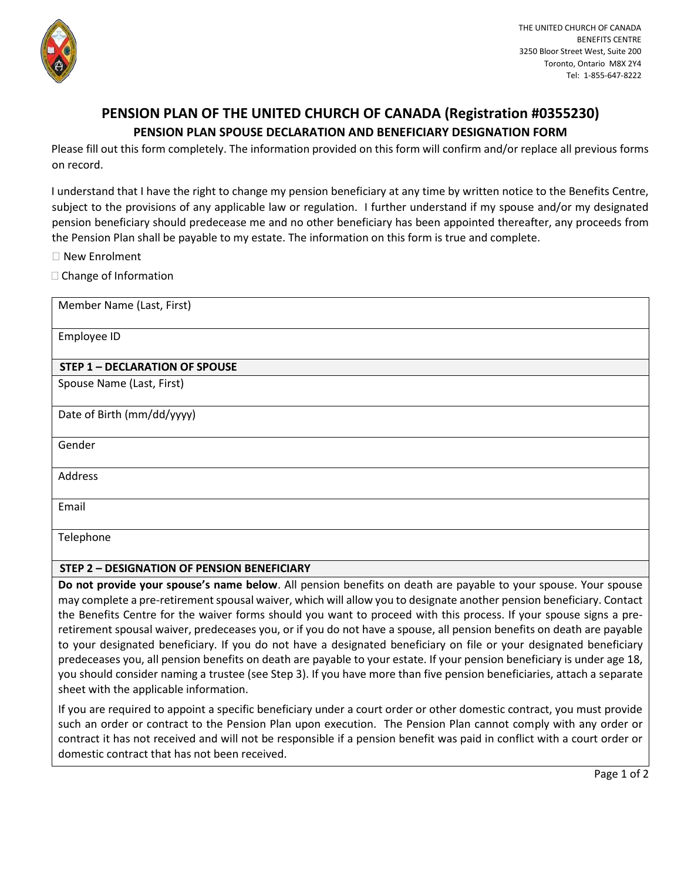

## **PENSION PLAN OF THE UNITED CHURCH OF CANADA (Registration #0355230) PENSION PLAN SPOUSE DECLARATION AND BENEFICIARY DESIGNATION FORM**

Please fill out this form completely. The information provided on this form will confirm and/or replace all previous forms on record.

I understand that I have the right to change my pension beneficiary at any time by written notice to the Benefits Centre, subject to the provisions of any applicable law or regulation. I further understand if my spouse and/or my designated pension beneficiary should predecease me and no other beneficiary has been appointed thereafter, any proceeds from the Pension Plan shall be payable to my estate. The information on this form is true and complete.

New Enrolment

 $\Box$  Change of Information

| Member Name (Last, First)                          |
|----------------------------------------------------|
| Employee ID                                        |
| <b>STEP 1 - DECLARATION OF SPOUSE</b>              |
| Spouse Name (Last, First)                          |
| Date of Birth (mm/dd/yyyy)                         |
| Gender                                             |
| Address                                            |
| Email                                              |
| Telephone                                          |
| <b>STEP 2 - DESIGNATION OF PENSION BENEFICIARY</b> |

**Do not provide your spouse's name below**. All pension benefits on death are payable to your spouse. Your spouse may complete a pre-retirement spousal waiver, which will allow you to designate another pension beneficiary. Contact the Benefits Centre for the waiver forms should you want to proceed with this process. If your spouse signs a preretirement spousal waiver, predeceases you, or if you do not have a spouse, all pension benefits on death are payable to your designated beneficiary. If you do not have a designated beneficiary on file or your designated beneficiary predeceases you, all pension benefits on death are payable to your estate. If your pension beneficiary is under age 18, you should consider naming a trustee (see Step 3). If you have more than five pension beneficiaries, attach a separate sheet with the applicable information.

If you are required to appoint a specific beneficiary under a court order or other domestic contract, you must provide such an order or contract to the Pension Plan upon execution. The Pension Plan cannot comply with any order or contract it has not received and will not be responsible if a pension benefit was paid in conflict with a court order or domestic contract that has not been received.